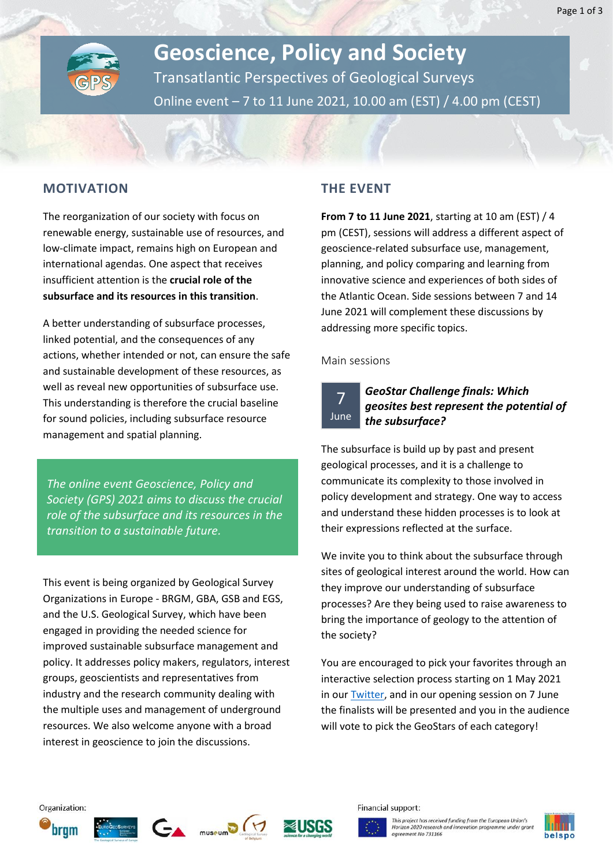

# **Geoscience, Policy and Society** Transatlantic Perspectives of Geological Surveys Online event – 7 to 11 June 2021, 10.00 am (EST) / 4.00 pm (CEST)

#### **MOTIVATION**

The reorganization of our society with focus on renewable energy, sustainable use of resources, and low-climate impact, remains high on European and international agendas. One aspect that receives insufficient attention is the **crucial role of the subsurface and its resources in this transition**.

A better understanding of subsurface processes, linked potential, and the consequences of any actions, whether intended or not, can ensure the safe and sustainable development of these resources, as well as reveal new opportunities of subsurface use. This understanding is therefore the crucial baseline for sound policies, including subsurface resource management and spatial planning.

*The online event Geoscience, Policy and Society (GPS) 2021 aims to discuss the crucial role of the subsurface and its resources in the transition to a sustainable future.* 

This event is being organized by Geological Survey Organizations in Europe - BRGM, GBA, GSB and EGS, and the U.S. Geological Survey, which have been engaged in providing the needed science for improved sustainable subsurface management and policy. It addresses policy makers, regulators, interest groups, geoscientists and representatives from industry and the research community dealing with the multiple uses and management of underground resources. We also welcome anyone with a broad interest in geoscience to join the discussions.

### **THE EVENT**

**From 7 to 11 June 2021**, starting at 10 am (EST) / 4 pm (CEST), sessions will address a different aspect of geoscience-related subsurface use, management, planning, and policy comparing and learning from innovative science and experiences of both sides of the Atlantic Ocean. Side sessions between 7 and 14 June 2021 will complement these discussions by addressing more specific topics.

#### Main sessions

7 June

### *GeoStar Challenge finals: Which geosites best represent the potential of the subsurface?*

The subsurface is build up by past and present geological processes, and it is a challenge to communicate its complexity to those involved in policy development and strategy. One way to access and understand these hidden processes is to look at their expressions reflected at the surface.

We invite you to think about the subsurface through sites of geological interest around the world. How can they improve our understanding of subsurface processes? Are they being used to raise awareness to bring the importance of geology to the attention of the society?

You are encouraged to pick your favorites through an interactive selection process starting on 1 May 2021 in ou[r Twitter,](https://twitter.com/GPS2021event) and in our opening session on 7 June the finalists will be presented and you in the audience will vote to pick the GeoStars of each category!













Financial support:

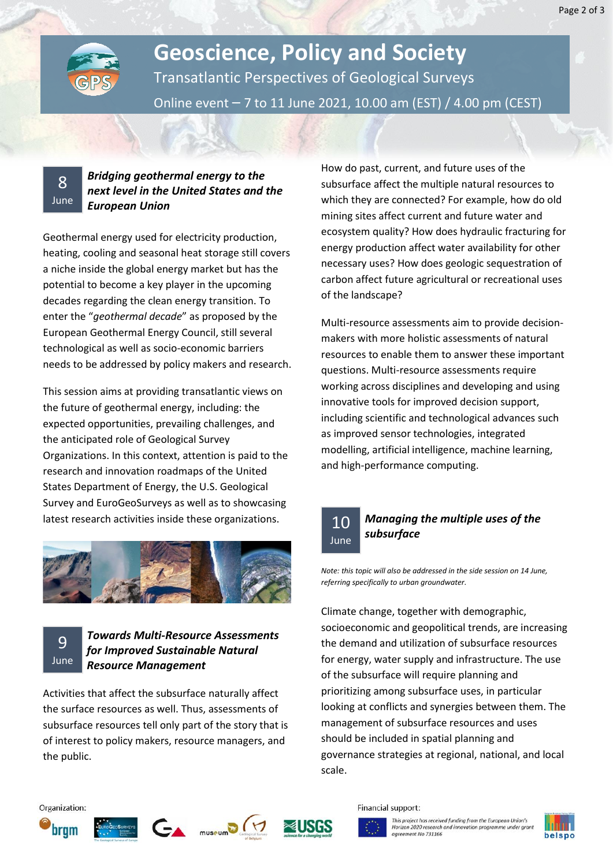

# **Geoscience, Policy and Society** Transatlantic Perspectives of Geological Surveys Online event – 7 to 11 June 2021, 10.00 am (EST) / 4.00 pm (CEST)

8 June

### *Bridging geothermal energy to the next level in the United States and the European Union*

Geothermal energy used for electricity production, heating, cooling and seasonal heat storage still covers a niche inside the global energy market but has the potential to become a key player in the upcoming decades regarding the clean energy transition. To enter the "*geothermal decade*" as proposed by the European Geothermal Energy Council, still several technological as well as socio-economic barriers needs to be addressed by policy makers and research.

This session aims at providing transatlantic views on the future of geothermal energy, including: the expected opportunities, prevailing challenges, and the anticipated role of Geological Survey Organizations. In this context, attention is paid to the research and innovation roadmaps of the United States Department of Energy, the U.S. Geological Survey and EuroGeoSurveys as well as to showcasing latest research activities inside these organizations.



9 June

### *Towards Multi-Resource Assessments for Improved Sustainable Natural Resource Management*

Activities that affect the subsurface naturally affect the surface resources as well. Thus, assessments of subsurface resources tell only part of the story that is of interest to policy makers, resource managers, and the public.

How do past, current, and future uses of the subsurface affect the multiple natural resources to which they are connected? For example, how do old mining sites affect current and future water and ecosystem quality? How does hydraulic fracturing for energy production affect water availability for other necessary uses? How does geologic sequestration of carbon affect future agricultural or recreational uses of the landscape?

Multi-resource assessments aim to provide decisionmakers with more holistic assessments of natural resources to enable them to answer these important questions. Multi-resource assessments require working across disciplines and developing and using innovative tools for improved decision support, including scientific and technological advances such as improved sensor technologies, integrated modelling, artificial intelligence, machine learning, and high-performance computing.

# 10 June

## *Managing the multiple uses of the subsurface*

*Note: this topic will also be addressed in the side session on 14 June, referring specifically to urban groundwater.*

Climate change, together with demographic, socioeconomic and geopolitical trends, are increasing the demand and utilization of subsurface resources for energy, water supply and infrastructure. The use of the subsurface will require planning and prioritizing among subsurface uses, in particular looking at conflicts and synergies between them. The management of subsurface resources and uses should be included in spatial planning and governance strategies at regional, national, and local scale.

#### Organization:











Financial support: